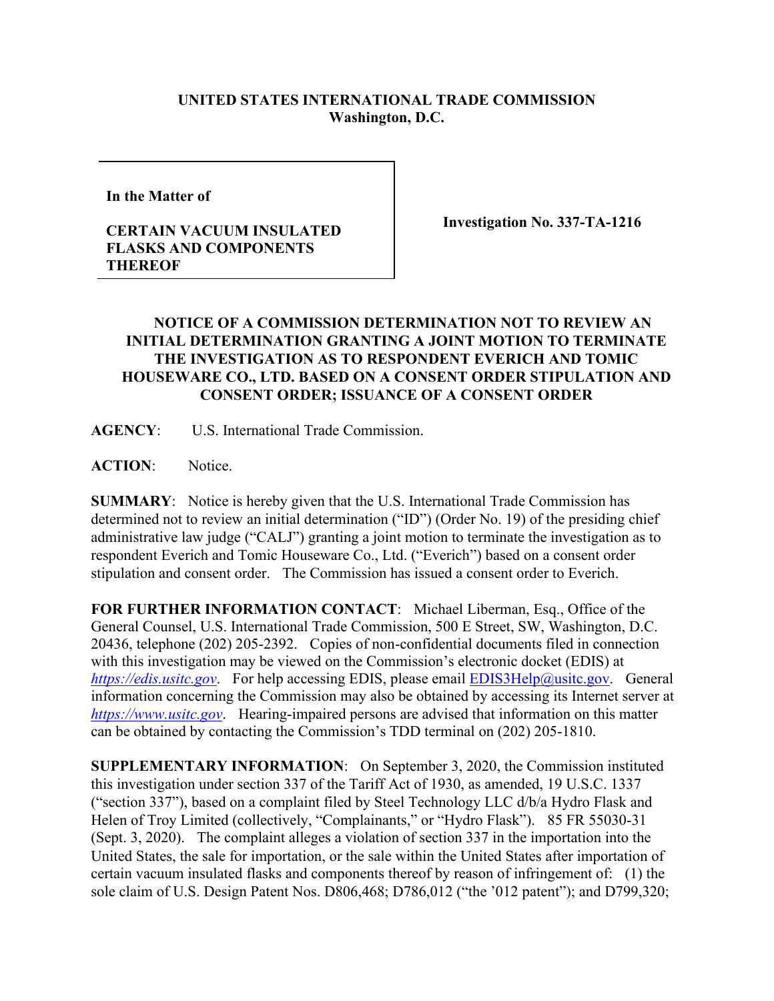## **UNITED STATES INTERNATIONAL TRADE COMMISSION Washington, D.C.**

**In the Matter of** 

## **CERTAIN VACUUM INSULATED FLASKS AND COMPONENTS THEREOF**

**Investigation No. 337-TA-1216**

## **NOTICE OF A COMMISSION DETERMINATION NOT TO REVIEW AN INITIAL DETERMINATION GRANTING A JOINT MOTION TO TERMINATE THE INVESTIGATION AS TO RESPONDENT EVERICH AND TOMIC HOUSEWARE CO., LTD. BASED ON A CONSENT ORDER STIPULATION AND CONSENT ORDER; ISSUANCE OF A CONSENT ORDER**

**AGENCY**: U.S. International Trade Commission.

**ACTION**: Notice.

**SUMMARY**: Notice is hereby given that the U.S. International Trade Commission has determined not to review an initial determination ("ID") (Order No. 19) of the presiding chief administrative law judge ("CALJ") granting a joint motion to terminate the investigation as to respondent Everich and Tomic Houseware Co., Ltd. ("Everich") based on a consent order stipulation and consent order. The Commission has issued a consent order to Everich.

**FOR FURTHER INFORMATION CONTACT**: Michael Liberman, Esq., Office of the General Counsel, U.S. International Trade Commission, 500 E Street, SW, Washington, D.C. 20436, telephone (202) 205-2392. Copies of non-confidential documents filed in connection with this investigation may be viewed on the Commission's electronic docket (EDIS) at *[https://edis.usitc.gov](https://edis.usitc.gov/).* For help accessing EDIS, please email [EDIS3Help@usitc.gov.](mailto:EDIS3Help@usitc.gov) General information concerning the Commission may also be obtained by accessing its Internet server at *[https://www.usitc.gov](https://www.usitc.gov/)*. Hearing-impaired persons are advised that information on this matter can be obtained by contacting the Commission's TDD terminal on (202) 205-1810.

**SUPPLEMENTARY INFORMATION**: On September 3, 2020, the Commission instituted this investigation under section 337 of the Tariff Act of 1930, as amended, 19 U.S.C. 1337 ("section 337"), based on a complaint filed by Steel Technology LLC d/b/a Hydro Flask and Helen of Troy Limited (collectively, "Complainants," or "Hydro Flask"). 85 FR 55030-31 (Sept. 3, 2020). The complaint alleges a violation of section 337 in the importation into the United States, the sale for importation, or the sale within the United States after importation of certain vacuum insulated flasks and components thereof by reason of infringement of: (1) the sole claim of U.S. Design Patent Nos. D806,468; D786,012 ("the '012 patent"); and D799,320;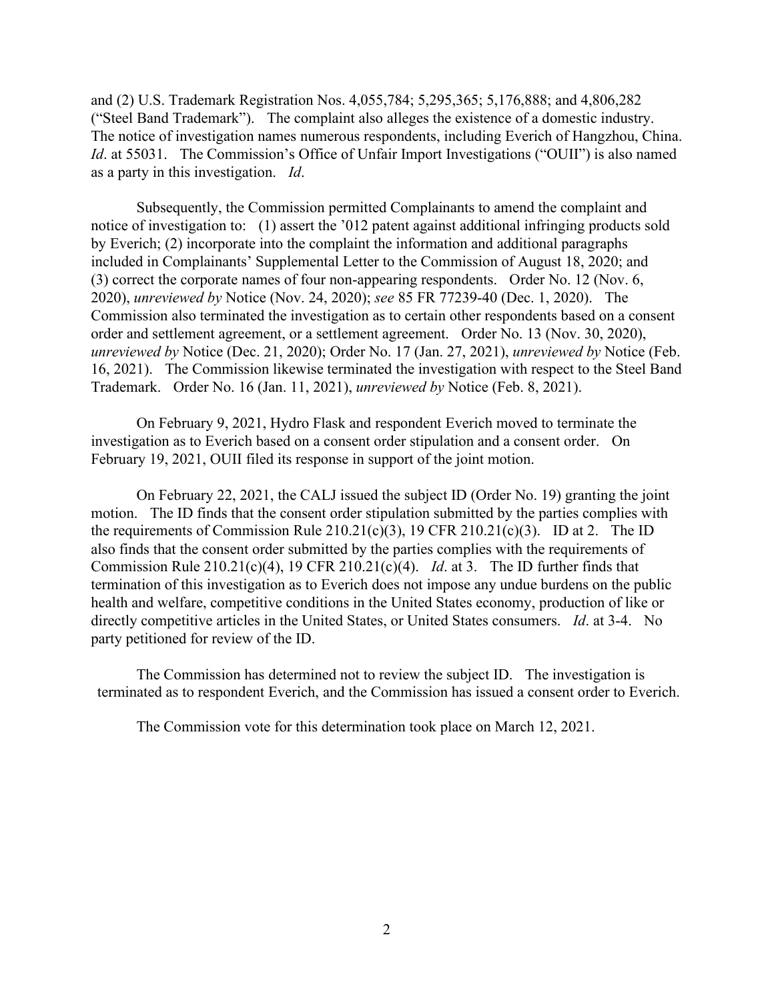and (2) U.S. Trademark Registration Nos. 4,055,784; 5,295,365; 5,176,888; and 4,806,282 ("Steel Band Trademark"). The complaint also alleges the existence of a domestic industry. The notice of investigation names numerous respondents, including Everich of Hangzhou, China. *Id.* at 55031. The Commission's Office of Unfair Import Investigations ("OUII") is also named as a party in this investigation. *Id*.

Subsequently, the Commission permitted Complainants to amend the complaint and notice of investigation to: (1) assert the '012 patent against additional infringing products sold by Everich; (2) incorporate into the complaint the information and additional paragraphs included in Complainants' Supplemental Letter to the Commission of August 18, 2020; and (3) correct the corporate names of four non-appearing respondents. Order No. 12 (Nov. 6, 2020), *unreviewed by* Notice (Nov. 24, 2020); *see* 85 FR 77239-40 (Dec. 1, 2020). The Commission also terminated the investigation as to certain other respondents based on a consent order and settlement agreement, or a settlement agreement. Order No. 13 (Nov. 30, 2020), *unreviewed by* Notice (Dec. 21, 2020); Order No. 17 (Jan. 27, 2021), *unreviewed by* Notice (Feb. 16, 2021). The Commission likewise terminated the investigation with respect to the Steel Band Trademark. Order No. 16 (Jan. 11, 2021), *unreviewed by* Notice (Feb. 8, 2021).

On February 9, 2021, Hydro Flask and respondent Everich moved to terminate the investigation as to Everich based on a consent order stipulation and a consent order. On February 19, 2021, OUII filed its response in support of the joint motion.

On February 22, 2021, the CALJ issued the subject ID (Order No. 19) granting the joint motion. The ID finds that the consent order stipulation submitted by the parties complies with the requirements of Commission Rule  $210.21(c)(3)$ , 19 CFR  $210.21(c)(3)$ . ID at 2. The ID also finds that the consent order submitted by the parties complies with the requirements of Commission Rule 210.21(c)(4), 19 CFR 210.21(c)(4). *Id*. at 3. The ID further finds that termination of this investigation as to Everich does not impose any undue burdens on the public health and welfare, competitive conditions in the United States economy, production of like or directly competitive articles in the United States, or United States consumers. *Id*. at 3-4. No party petitioned for review of the ID.

The Commission has determined not to review the subject ID. The investigation is terminated as to respondent Everich, and the Commission has issued a consent order to Everich.

The Commission vote for this determination took place on March 12, 2021.